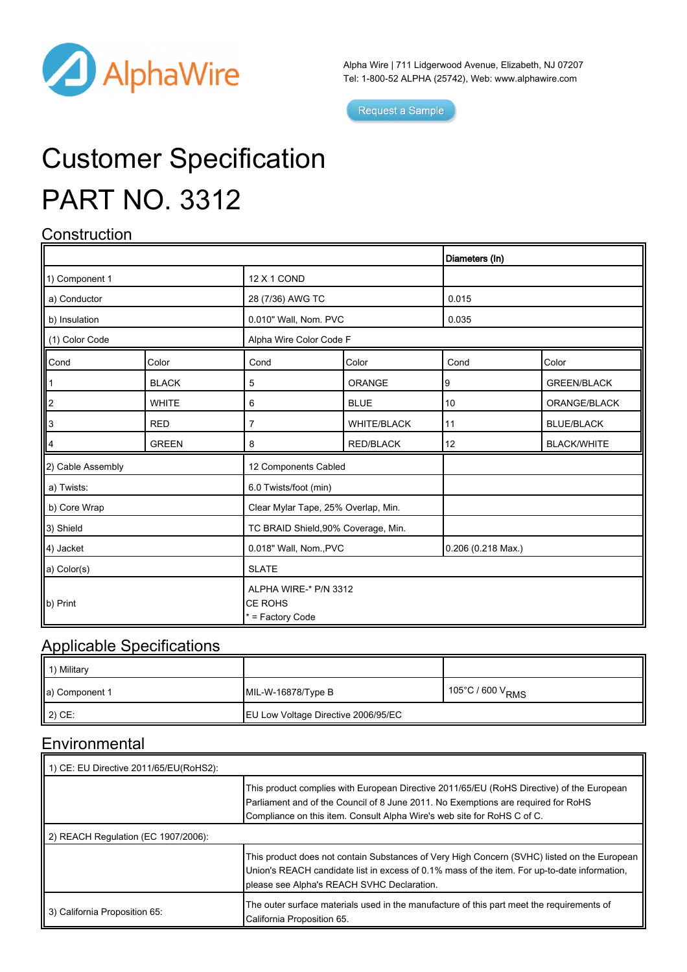

Alpha Wire | 711 Lidgerwood Avenue, Elizabeth, NJ 07207 Tel: 1-800-52 ALPHA (25742), Web: [www.alphawire.com](http://www.alphawire.com)

Request a Sample

# Customer Specification PART NO. 3312

## **Construction**

|                   |              |                                                             |                    | Diameters (In)              |                    |  |
|-------------------|--------------|-------------------------------------------------------------|--------------------|-----------------------------|--------------------|--|
| 1) Component 1    |              | <b>12 X 1 COND</b>                                          |                    |                             |                    |  |
| a) Conductor      |              | 28 (7/36) AWG TC                                            |                    | 0.015                       |                    |  |
| b) Insulation     |              | 0.010" Wall, Nom. PVC                                       |                    | 0.035                       |                    |  |
| (1) Color Code    |              | Alpha Wire Color Code F                                     |                    |                             |                    |  |
| Cond              | Color        | Cond                                                        | Color              | Cond                        | Color              |  |
|                   | <b>BLACK</b> | 5                                                           | <b>ORANGE</b>      | 9                           | <b>GREEN/BLACK</b> |  |
| ∥2                | <b>WHITE</b> | 6                                                           | <b>BLUE</b>        | 10                          | ORANGE/BLACK       |  |
| llз               | <b>RED</b>   | 7                                                           | <b>WHITE/BLACK</b> | 11                          | <b>BLUE/BLACK</b>  |  |
| 14                | <b>GREEN</b> | 8                                                           | <b>RED/BLACK</b>   | 12                          | <b>BLACK/WHITE</b> |  |
| 2) Cable Assembly |              | 12 Components Cabled                                        |                    |                             |                    |  |
| a) Twists:        |              | 6.0 Twists/foot (min)                                       |                    |                             |                    |  |
| b) Core Wrap      |              | Clear Mylar Tape, 25% Overlap, Min.                         |                    |                             |                    |  |
| 3) Shield         |              | TC BRAID Shield, 90% Coverage, Min.                         |                    |                             |                    |  |
| 4) Jacket         |              | 0.018" Wall, Nom., PVC                                      |                    | $0.206(0.218 \text{ Max.})$ |                    |  |
| a) Color(s)       |              | <b>SLATE</b>                                                |                    |                             |                    |  |
| b) Print          |              | ALPHA WIRE-* P/N 3312<br><b>CE ROHS</b><br>* = Factory Code |                    |                             |                    |  |

#### Applicable Specifications

| 1) Military    |                                            |                              |
|----------------|--------------------------------------------|------------------------------|
| a) Component 1 | $MIL-W-16878/Type B$                       | 105°C / 600 V <sub>RMS</sub> |
| 2) CE:         | <b>EU Low Voltage Directive 2006/95/EC</b> |                              |

### **Environmental**

| 1) CE: EU Directive 2011/65/EU(RoHS2): |                                                                                                                                                                                                                                                           |  |  |
|----------------------------------------|-----------------------------------------------------------------------------------------------------------------------------------------------------------------------------------------------------------------------------------------------------------|--|--|
|                                        | This product complies with European Directive 2011/65/EU (RoHS Directive) of the European<br>Parliament and of the Council of 8 June 2011. No Exemptions are required for RoHS<br>Compliance on this item. Consult Alpha Wire's web site for RoHS C of C. |  |  |
| 2) REACH Regulation (EC 1907/2006):    |                                                                                                                                                                                                                                                           |  |  |
|                                        | This product does not contain Substances of Very High Concern (SVHC) listed on the European<br>Union's REACH candidate list in excess of 0.1% mass of the item. For up-to-date information,<br>please see Alpha's REACH SVHC Declaration.                 |  |  |
| 3) California Proposition 65:          | The outer surface materials used in the manufacture of this part meet the requirements of<br>California Proposition 65.                                                                                                                                   |  |  |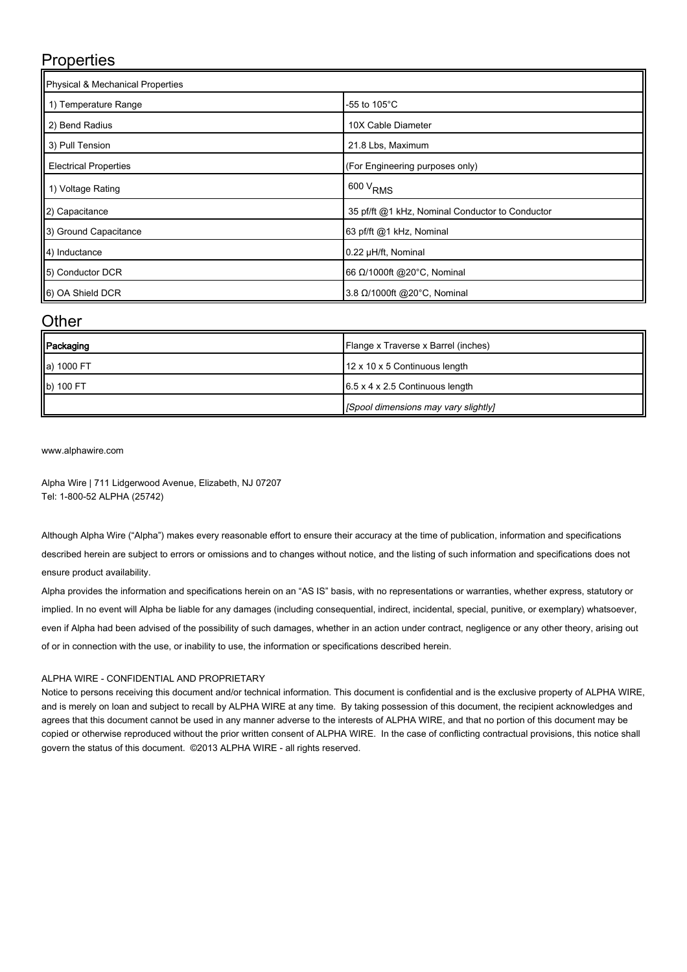#### **Properties**

| Physical & Mechanical Properties |                                                 |  |  |  |
|----------------------------------|-------------------------------------------------|--|--|--|
| 1) Temperature Range             | -55 to 105°C                                    |  |  |  |
| 2) Bend Radius                   | 10X Cable Diameter                              |  |  |  |
| 3) Pull Tension                  | 21.8 Lbs, Maximum                               |  |  |  |
| <b>Electrical Properties</b>     | (For Engineering purposes only)                 |  |  |  |
| 1) Voltage Rating                | $600 V$ <sub>RMS</sub>                          |  |  |  |
| (2) Capacitance                  | 35 pf/ft @1 kHz, Nominal Conductor to Conductor |  |  |  |
| 3) Ground Capacitance            | 63 pf/ft @1 kHz, Nominal                        |  |  |  |
| 4) Inductance                    | 0.22 µH/ft, Nominal                             |  |  |  |
| 5) Conductor DCR                 | 66 Ω/1000ft @20°C, Nominal                      |  |  |  |
| 6) OA Shield DCR                 | 3.8 Ω/1000ft @20°C, Nominal                     |  |  |  |

#### **Other**

| Packaging  | Flange x Traverse x Barrel (inches)         |
|------------|---------------------------------------------|
| a) 1000 FT | 12 x 10 x 5 Continuous length               |
| b) 100 FT  | $6.5 \times 4 \times 2.5$ Continuous length |
|            | [Spool dimensions may vary slightly]        |

[www.alphawire.com](http://www.alphawire.com)

Alpha Wire | 711 Lidgerwood Avenue, Elizabeth, NJ 07207 Tel: 1-800-52 ALPHA (25742)

Although Alpha Wire ("Alpha") makes every reasonable effort to ensure their accuracy at the time of publication, information and specifications described herein are subject to errors or omissions and to changes without notice, and the listing of such information and specifications does not ensure product availability.

Alpha provides the information and specifications herein on an "AS IS" basis, with no representations or warranties, whether express, statutory or implied. In no event will Alpha be liable for any damages (including consequential, indirect, incidental, special, punitive, or exemplary) whatsoever, even if Alpha had been advised of the possibility of such damages, whether in an action under contract, negligence or any other theory, arising out of or in connection with the use, or inability to use, the information or specifications described herein.

#### ALPHA WIRE - CONFIDENTIAL AND PROPRIETARY

Notice to persons receiving this document and/or technical information. This document is confidential and is the exclusive property of ALPHA WIRE, and is merely on loan and subject to recall by ALPHA WIRE at any time. By taking possession of this document, the recipient acknowledges and agrees that this document cannot be used in any manner adverse to the interests of ALPHA WIRE, and that no portion of this document may be copied or otherwise reproduced without the prior written consent of ALPHA WIRE. In the case of conflicting contractual provisions, this notice shall govern the status of this document. ©2013 ALPHA WIRE - all rights reserved.